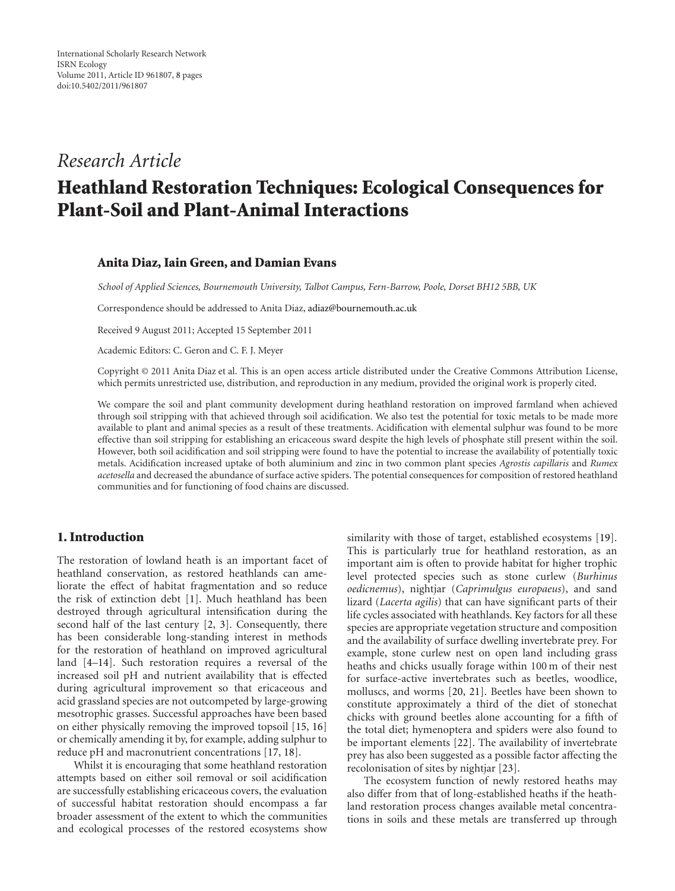# *Research Article*

# **Heathland Restoration Techniques: Ecological Consequences for Plant-Soil and Plant-Animal Interactions**

#### **Anita Diaz, Iain Green, and Damian Evans**

*School of Applied Sciences, Bournemouth University, Talbot Campus, Fern-Barrow, Poole, Dorset BH12 5BB, UK*

Correspondence should be addressed to Anita Diaz, [adiaz@bournemouth.ac.uk](mailto:adiaz@bournemouth.ac.uk)

Received 9 August 2011; Accepted 15 September 2011

Academic Editors: C. Geron and C. F. J. Meyer

Copyright © 2011 Anita Diaz et al. This is an open access article distributed under the Creative Commons Attribution License, which permits unrestricted use, distribution, and reproduction in any medium, provided the original work is properly cited.

We compare the soil and plant community development during heathland restoration on improved farmland when achieved through soil stripping with that achieved through soil acidification. We also test the potential for toxic metals to be made more available to plant and animal species as a result of these treatments. Acidification with elemental sulphur was found to be more effective than soil stripping for establishing an ericaceous sward despite the high levels of phosphate still present within the soil. However, both soil acidification and soil stripping were found to have the potential to increase the availability of potentially toxic metals. Acidification increased uptake of both aluminium and zinc in two common plant species *Agrostis capillaris* and *Rumex acetosella* and decreased the abundance of surface active spiders. The potential consequences for composition of restored heathland communities and for functioning of food chains are discussed.

## **1. Introduction**

The restoration of lowland heath is an important facet of heathland conservation, as restored heathlands can ameliorate the effect of habitat fragmentation and so reduce the risk of extinction debt [\[1](#page-5-1)]. Much heathland has been destroyed through agricultural intensification during the second half of the last century [\[2](#page-5-2), [3](#page-5-3)]. Consequently, there has been considerable long-standing interest in methods for the restoration of heathland on improved agricultural land [\[4](#page-5-4)[–14\]](#page-6-0). Such restoration requires a reversal of the increased soil pH and nutrient availability that is effected during agricultural improvement so that ericaceous and acid grassland species are not outcompeted by large-growing mesotrophic grasses. Successful approaches have been based on either physically removing the improved topsoil [\[15,](#page-6-1) [16](#page-6-2)] or chemically amending it by, for example, adding sulphur to reduce pH and macronutrient concentrations [\[17,](#page-6-3) [18\]](#page-6-4).

Whilst it is encouraging that some heathland restoration attempts based on either soil removal or soil acidification are successfully establishing ericaceous covers, the evaluation of successful habitat restoration should encompass a far broader assessment of the extent to which the communities and ecological processes of the restored ecosystems show

similarity with those of target, established ecosystems [\[19\]](#page-6-5). This is particularly true for heathland restoration, as an important aim is often to provide habitat for higher trophic level protected species such as stone curlew (*Burhinus oedicnemus*), nightjar (*Caprimulgus europaeus*), and sand lizard (*Lacerta agilis*) that can have significant parts of their life cycles associated with heathlands. Key factors for all these species are appropriate vegetation structure and composition and the availability of surface dwelling invertebrate prey. For example, stone curlew nest on open land including grass heaths and chicks usually forage within 100 m of their nest for surface-active invertebrates such as beetles, woodlice, molluscs, and worms [\[20,](#page-6-6) [21\]](#page-6-7). Beetles have been shown to constitute approximately a third of the diet of stonechat chicks with ground beetles alone accounting for a fifth of the total diet; hymenoptera and spiders were also found to be important elements [\[22](#page-6-8)]. The availability of invertebrate prey has also been suggested as a possible factor affecting the recolonisation of sites by nightjar [\[23](#page-6-9)].

The ecosystem function of newly restored heaths may also differ from that of long-established heaths if the heathland restoration process changes available metal concentrations in soils and these metals are transferred up through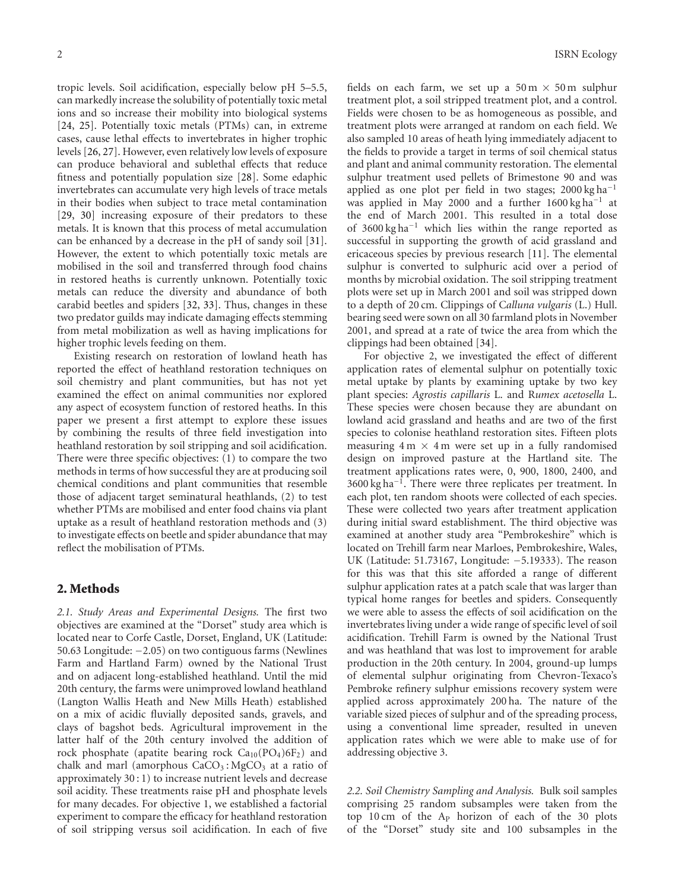tropic levels. Soil acidification, especially below pH 5–5.5, can markedly increase the solubility of potentially toxic metal ions and so increase their mobility into biological systems [\[24,](#page-6-10) [25](#page-6-11)]. Potentially toxic metals (PTMs) can, in extreme cases, cause lethal effects to invertebrates in higher trophic levels [\[26](#page-6-12), [27](#page-6-13)]. However, even relatively low levels of exposure can produce behavioral and sublethal effects that reduce fitness and potentially population size [\[28](#page-6-14)]. Some edaphic invertebrates can accumulate very high levels of trace metals in their bodies when subject to trace metal contamination [\[29,](#page-6-15) [30](#page-6-16)] increasing exposure of their predators to these metals. It is known that this process of metal accumulation can be enhanced by a decrease in the pH of sandy soil [\[31\]](#page-6-17). However, the extent to which potentially toxic metals are mobilised in the soil and transferred through food chains in restored heaths is currently unknown. Potentially toxic metals can reduce the diversity and abundance of both carabid beetles and spiders [\[32](#page-6-18), [33](#page-6-19)]. Thus, changes in these two predator guilds may indicate damaging effects stemming from metal mobilization as well as having implications for higher trophic levels feeding on them.

Existing research on restoration of lowland heath has reported the effect of heathland restoration techniques on soil chemistry and plant communities, but has not yet examined the effect on animal communities nor explored any aspect of ecosystem function of restored heaths. In this paper we present a first attempt to explore these issues by combining the results of three field investigation into heathland restoration by soil stripping and soil acidification. There were three specific objectives: (1) to compare the two methods in terms of how successful they are at producing soil chemical conditions and plant communities that resemble those of adjacent target seminatural heathlands, (2) to test whether PTMs are mobilised and enter food chains via plant uptake as a result of heathland restoration methods and (3) to investigate effects on beetle and spider abundance that may reflect the mobilisation of PTMs.

#### **2. Methods**

*2.1. Study Areas and Experimental Designs.* The first two objectives are examined at the "Dorset" study area which is located near to Corfe Castle, Dorset, England, UK (Latitude: 50.63 Longitude: −2.05) on two contiguous farms (Newlines Farm and Hartland Farm) owned by the National Trust and on adjacent long-established heathland. Until the mid 20th century, the farms were unimproved lowland heathland (Langton Wallis Heath and New Mills Heath) established on a mix of acidic fluvially deposited sands, gravels, and clays of bagshot beds. Agricultural improvement in the latter half of the 20th century involved the addition of rock phosphate (apatite bearing rock  $Ca_{10}(PO_4)6F_2$ ) and chalk and marl (amorphous  $CaCO<sub>3</sub>$ : MgCO<sub>3</sub> at a ratio of approximately 30 : 1) to increase nutrient levels and decrease soil acidity. These treatments raise pH and phosphate levels for many decades. For objective 1, we established a factorial experiment to compare the efficacy for heathland restoration of soil stripping versus soil acidification. In each of five

fields on each farm, we set up a  $50 \text{ m} \times 50 \text{ m}$  sulphur treatment plot, a soil stripped treatment plot, and a control. Fields were chosen to be as homogeneous as possible, and treatment plots were arranged at random on each field. We also sampled 10 areas of heath lying immediately adjacent to the fields to provide a target in terms of soil chemical status and plant and animal community restoration. The elemental sulphur treatment used pellets of Brimestone 90 and was applied as one plot per field in two stages; 2000 kg ha−<sup>1</sup> was applied in May 2000 and a further 1600 kg ha−<sup>1</sup> at the end of March 2001. This resulted in a total dose of 3600 kg ha−<sup>1</sup> which lies within the range reported as successful in supporting the growth of acid grassland and ericaceous species by previous research [\[11\]](#page-6-20). The elemental sulphur is converted to sulphuric acid over a period of months by microbial oxidation. The soil stripping treatment plots were set up in March 2001 and soil was stripped down to a depth of 20 cm. Clippings of C*alluna vulgaris* (L.) Hull. bearing seed were sown on all 30 farmland plots in November 2001, and spread at a rate of twice the area from which the clippings had been obtained [\[34](#page-6-21)].

For objective 2, we investigated the effect of different application rates of elemental sulphur on potentially toxic metal uptake by plants by examining uptake by two key plant species: *Agrostis capillaris* L. and R*umex acetosella* L. These species were chosen because they are abundant on lowland acid grassland and heaths and are two of the first species to colonise heathland restoration sites. Fifteen plots measuring  $4 \text{ m} \times 4 \text{ m}$  were set up in a fully randomised design on improved pasture at the Hartland site. The treatment applications rates were, 0, 900, 1800, 2400, and 3600 kg ha−1. There were three replicates per treatment. In each plot, ten random shoots were collected of each species. These were collected two years after treatment application during initial sward establishment. The third objective was examined at another study area "Pembrokeshire" which is located on Trehill farm near Marloes, Pembrokeshire, Wales, UK (Latitude: 51.73167, Longitude: −5.19333). The reason for this was that this site afforded a range of different sulphur application rates at a patch scale that was larger than typical home ranges for beetles and spiders. Consequently we were able to assess the effects of soil acidification on the invertebrates living under a wide range of specific level of soil acidification. Trehill Farm is owned by the National Trust and was heathland that was lost to improvement for arable production in the 20th century. In 2004, ground-up lumps of elemental sulphur originating from Chevron-Texaco's Pembroke refinery sulphur emissions recovery system were applied across approximately 200 ha. The nature of the variable sized pieces of sulphur and of the spreading process, using a conventional lime spreader, resulted in uneven application rates which we were able to make use of for addressing objective 3.

*2.2. Soil Chemistry Sampling and Analysis.* Bulk soil samples comprising 25 random subsamples were taken from the top 10 cm of the AP horizon of each of the 30 plots of the "Dorset" study site and 100 subsamples in the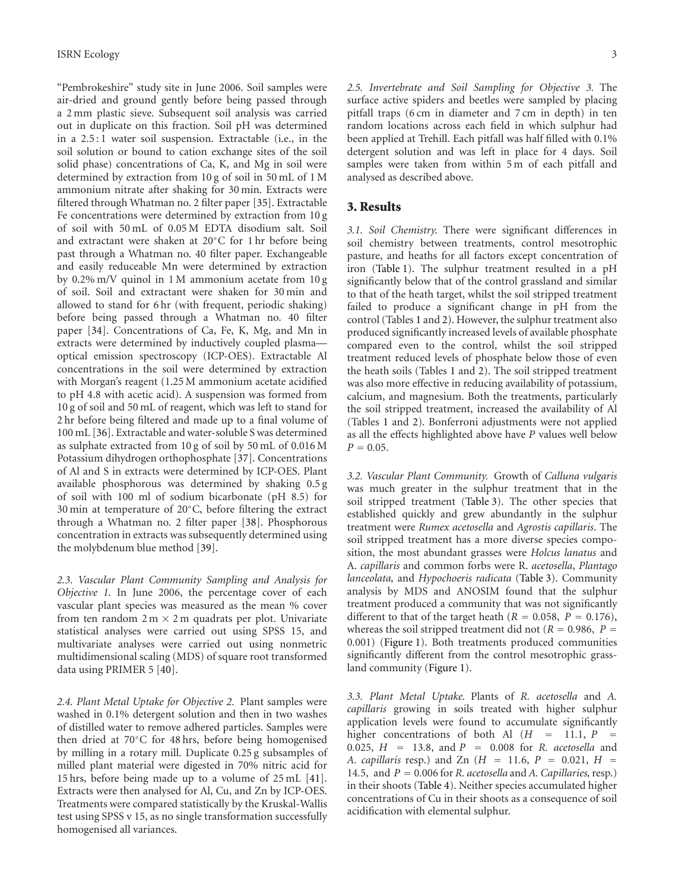"Pembrokeshire" study site in June 2006. Soil samples were air-dried and ground gently before being passed through a 2 mm plastic sieve. Subsequent soil analysis was carried out in duplicate on this fraction. Soil pH was determined in a 2.5 : 1 water soil suspension. Extractable (i.e., in the soil solution or bound to cation exchange sites of the soil solid phase) concentrations of Ca, K, and Mg in soil were determined by extraction from 10 g of soil in 50 mL of 1 M ammonium nitrate after shaking for 30 min. Extracts were filtered through Whatman no. 2 filter paper [\[35\]](#page-6-22). Extractable Fe concentrations were determined by extraction from 10 g of soil with 50 mL of 0.05 M EDTA disodium salt. Soil and extractant were shaken at 20◦C for 1 hr before being past through a Whatman no. 40 filter paper. Exchangeable and easily reduceable Mn were determined by extraction by 0.2% m/V quinol in 1 M ammonium acetate from 10 g of soil. Soil and extractant were shaken for 30 min and allowed to stand for 6 hr (with frequent, periodic shaking) before being passed through a Whatman no. 40 filter paper [\[34\]](#page-6-21). Concentrations of Ca, Fe, K, Mg, and Mn in extracts were determined by inductively coupled plasma optical emission spectroscopy (ICP-OES). Extractable Al concentrations in the soil were determined by extraction with Morgan's reagent (1.25 M ammonium acetate acidified to pH 4.8 with acetic acid). A suspension was formed from 10 g of soil and 50 mL of reagent, which was left to stand for 2 hr before being filtered and made up to a final volume of 100 mL [\[36](#page-6-23)]. Extractable and water-soluble S was determined as sulphate extracted from 10 g of soil by 50 mL of 0.016 M Potassium dihydrogen orthophosphate [\[37\]](#page-6-24). Concentrations of Al and S in extracts were determined by ICP-OES. Plant available phosphorous was determined by shaking 0.5 g of soil with 100 ml of sodium bicarbonate (pH 8.5) for 30 min at temperature of 20◦C, before filtering the extract through a Whatman no. 2 filter paper [\[38\]](#page-6-25). Phosphorous concentration in extracts was subsequently determined using the molybdenum blue method [\[39\]](#page-6-26).

*2.3. Vascular Plant Community Sampling and Analysis for Objective 1.* In June 2006, the percentage cover of each vascular plant species was measured as the mean % cover from ten random  $2 m \times 2 m$  quadrats per plot. Univariate statistical analyses were carried out using SPSS 15, and multivariate analyses were carried out using nonmetric multidimensional scaling (MDS) of square root transformed data using PRIMER 5 [\[40](#page-6-27)].

*2.4. Plant Metal Uptake for Objective 2.* Plant samples were washed in 0.1% detergent solution and then in two washes of distilled water to remove adhered particles. Samples were then dried at 70◦C for 48 hrs, before being homogenised by milling in a rotary mill. Duplicate 0.25 g subsamples of milled plant material were digested in 70% nitric acid for 15 hrs, before being made up to a volume of 25 mL [\[41\]](#page-7-0). Extracts were then analysed for Al, Cu, and Zn by ICP-OES. Treatments were compared statistically by the Kruskal-Wallis test using SPSS v 15, as no single transformation successfully homogenised all variances.

*2.5. Invertebrate and Soil Sampling for Objective 3.* The surface active spiders and beetles were sampled by placing pitfall traps (6 cm in diameter and 7 cm in depth) in ten random locations across each field in which sulphur had been applied at Trehill. Each pitfall was half filled with 0.1% detergent solution and was left in place for 4 days. Soil samples were taken from within 5 m of each pitfall and analysed as described above.

#### **3. Results**

*3.1. Soil Chemistry.* There were significant differences in soil chemistry between treatments, control mesotrophic pasture, and heaths for all factors except concentration of iron [\(Table 1\)](#page-3-0). The sulphur treatment resulted in a pH significantly below that of the control grassland and similar to that of the heath target, whilst the soil stripped treatment failed to produce a significant change in pH from the control (Tables [1](#page-3-0) and [2\)](#page-3-1). However, the sulphur treatment also produced significantly increased levels of available phosphate compared even to the control, whilst the soil stripped treatment reduced levels of phosphate below those of even the heath soils (Tables [1](#page-3-0) and [2\)](#page-3-1). The soil stripped treatment was also more effective in reducing availability of potassium, calcium, and magnesium. Both the treatments, particularly the soil stripped treatment, increased the availability of Al (Tables [1](#page-3-0) and [2\)](#page-3-1). Bonferroni adjustments were not applied as all the effects highlighted above have *P* values well below  $P = 0.05$ .

*3.2. Vascular Plant Community.* Growth of *Calluna vulgaris* was much greater in the sulphur treatment that in the soil stripped treatment [\(Table 3\)](#page-3-2). The other species that established quickly and grew abundantly in the sulphur treatment were *Rumex acetosella* and *Agrostis capillaris*. The soil stripped treatment has a more diverse species composition, the most abundant grasses were *Holcus lanatus* and A. *capillaris* and common forbs were R. *acetosella*, *Plantago lanceolata,* and *Hypochoeris radicata* [\(Table 3\)](#page-3-2). Community analysis by MDS and ANOSIM found that the sulphur treatment produced a community that was not significantly different to that of the target heath ( $R = 0.058$ ,  $P = 0.176$ ), whereas the soil stripped treatment did not ( $R = 0.986$ ,  $P =$ 0*.*001) [\(Figure 1\)](#page-4-0). Both treatments produced communities significantly different from the control mesotrophic grassland community [\(Figure 1\)](#page-4-0).

*3.3. Plant Metal Uptake.* Plants of *R. acetosella* and *A. capillaris* growing in soils treated with higher sulphur application levels were found to accumulate significantly higher concentrations of both Al  $(H = 11.1, P =$ <sup>0</sup>*.*025, *<sup>H</sup>* <sup>=</sup> <sup>13</sup>*.*8, and *<sup>P</sup>* <sup>=</sup> <sup>0</sup>*.*008 for *R. acetosella* and *A. capillaris* resp.) and Zn (*<sup>H</sup>* <sup>=</sup> <sup>11</sup>*.*6, *<sup>P</sup>* <sup>=</sup> <sup>0</sup>*.*021, *<sup>H</sup>* <sup>=</sup> 14.5, and  $P = 0.006$  for *R. acetosella* and *A. Capillaries*, resp.) in their shoots [\(Table 4\)](#page-4-1). Neither species accumulated higher concentrations of Cu in their shoots as a consequence of soil acidification with elemental sulphur.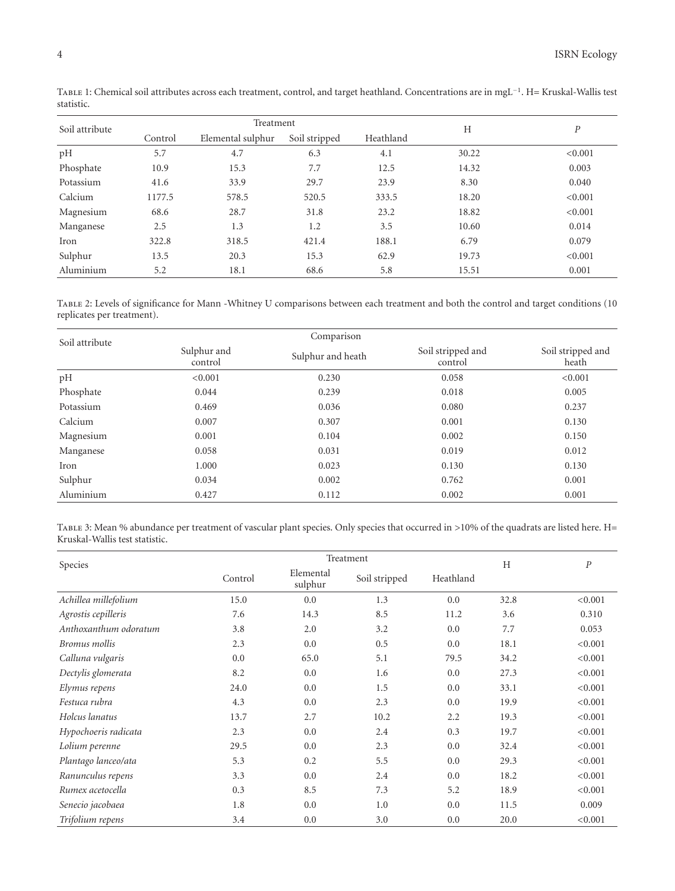<span id="page-3-0"></span>

| Soil attribute | Treatment |                   |               |           | H     | $\boldsymbol{P}$ |
|----------------|-----------|-------------------|---------------|-----------|-------|------------------|
|                | Control   | Elemental sulphur | Soil stripped | Heathland |       |                  |
| pH             | 5.7       | 4.7               | 6.3           | 4.1       | 30.22 | < 0.001          |
| Phosphate      | 10.9      | 15.3              | 7.7           | 12.5      | 14.32 | 0.003            |
| Potassium      | 41.6      | 33.9              | 29.7          | 23.9      | 8.30  | 0.040            |
| Calcium        | 1177.5    | 578.5             | 520.5         | 333.5     | 18.20 | < 0.001          |
| Magnesium      | 68.6      | 28.7              | 31.8          | 23.2      | 18.82 | < 0.001          |
| Manganese      | 2.5       | 1.3               | 1.2           | 3.5       | 10.60 | 0.014            |
| Iron           | 322.8     | 318.5             | 421.4         | 188.1     | 6.79  | 0.079            |
| Sulphur        | 13.5      | 20.3              | 15.3          | 62.9      | 19.73 | < 0.001          |
| Aluminium      | 5.2       | 18.1              | 68.6          | 5.8       | 15.51 | 0.001            |

Table 1: Chemical soil attributes across each treatment, control, and target heathland. Concentrations are in mgL−1. H= Kruskal-Wallis test statistic.

<span id="page-3-1"></span>Table 2: Levels of significance for Mann -Whitney U comparisons between each treatment and both the control and target conditions (10 replicates per treatment).

| Soil attribute |                        |                   |                              |                            |
|----------------|------------------------|-------------------|------------------------------|----------------------------|
|                | Sulphur and<br>control | Sulphur and heath | Soil stripped and<br>control | Soil stripped and<br>heath |
| pH             | < 0.001                | 0.230             | 0.058                        | < 0.001                    |
| Phosphate      | 0.044                  | 0.239             | 0.018                        | 0.005                      |
| Potassium      | 0.469                  | 0.036             | 0.080                        | 0.237                      |
| Calcium        | 0.007                  | 0.307             | 0.001                        | 0.130                      |
| Magnesium      | 0.001                  | 0.104             | 0.002                        | 0.150                      |
| Manganese      | 0.058                  | 0.031             | 0.019                        | 0.012                      |
| Iron           | 1.000                  | 0.023             | 0.130                        | 0.130                      |
| Sulphur        | 0.034                  | 0.002             | 0.762                        | 0.001                      |
| Aluminium      | 0.427                  | 0.112             | 0.002                        | 0.001                      |

<span id="page-3-2"></span>Table 3: Mean % abundance per treatment of vascular plant species. Only species that occurred in *>*10% of the quadrats are listed here. H= Kruskal-Wallis test statistic.

| Species               | Treatment |                      |               |           |      | $\boldsymbol{P}$ |
|-----------------------|-----------|----------------------|---------------|-----------|------|------------------|
|                       | Control   | Elemental<br>sulphur | Soil stripped | Heathland | H    |                  |
| Achillea millefolium  | 15.0      | 0.0                  | 1.3           | 0.0       | 32.8 | < 0.001          |
| Agrostis cepilleris   | 7.6       | 14.3                 | 8.5           | 11.2      | 3.6  | 0.310            |
| Anthoxanthum odoratum | 3.8       | 2.0                  | 3.2           | 0.0       | 7.7  | 0.053            |
| Bromus mollis         | 2.3       | 0.0                  | 0.5           | 0.0       | 18.1 | < 0.001          |
| Calluna vulgaris      | 0.0       | 65.0                 | 5.1           | 79.5      | 34.2 | < 0.001          |
| Dectylis glomerata    | 8.2       | 0.0                  | 1.6           | 0.0       | 27.3 | < 0.001          |
| Elymus repens         | 24.0      | 0.0                  | 1.5           | 0.0       | 33.1 | < 0.001          |
| Festuca rubra         | 4.3       | 0.0                  | 2.3           | 0.0       | 19.9 | < 0.001          |
| Holcus lanatus        | 13.7      | 2.7                  | 10.2          | 2.2       | 19.3 | < 0.001          |
| Hypochoeris radicata  | 2.3       | 0.0                  | 2.4           | 0.3       | 19.7 | < 0.001          |
| Lolium perenne        | 29.5      | 0.0                  | 2.3           | 0.0       | 32.4 | < 0.001          |
| Plantago lanceo/ata   | 5.3       | 0.2                  | 5.5           | 0.0       | 29.3 | < 0.001          |
| Ranunculus repens     | 3.3       | 0.0                  | 2.4           | 0.0       | 18.2 | < 0.001          |
| Rumex acetocella      | 0.3       | 8.5                  | 7.3           | 5.2       | 18.9 | < 0.001          |
| Senecio jacobaea      | 1.8       | 0.0                  | 1.0           | 0.0       | 11.5 | 0.009            |
| Trifolium repens      | 3.4       | 0.0                  | 3.0           | 0.0       | 20.0 | < 0.001          |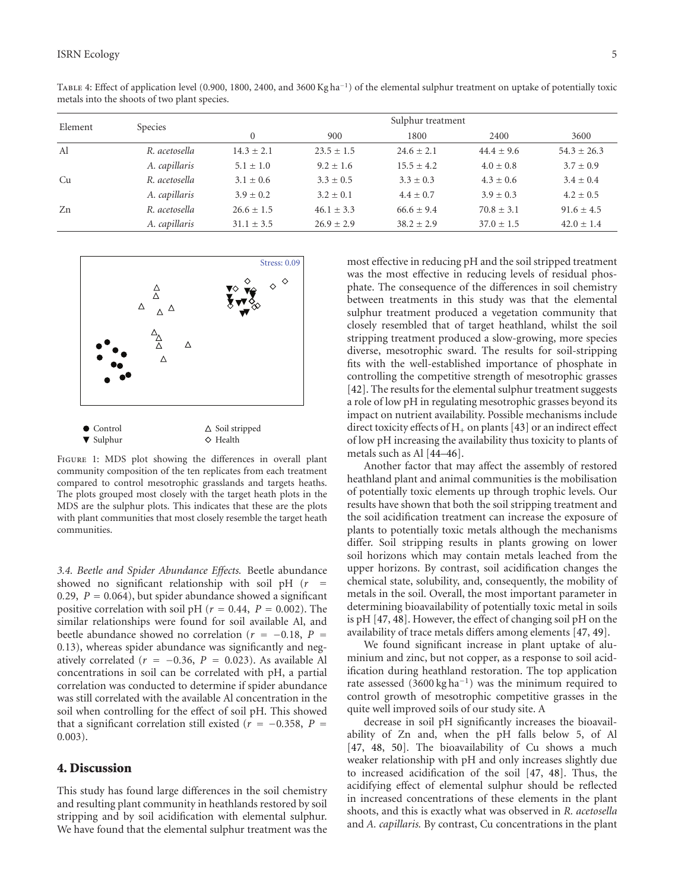<span id="page-4-1"></span>

| Element | Species       | Sulphur treatment |                |                |                |                 |  |  |
|---------|---------------|-------------------|----------------|----------------|----------------|-----------------|--|--|
|         |               |                   | 900            | 1800           | 2400           | 3600            |  |  |
| Al      | R. acetosella | $14.3 \pm 2.1$    | $23.5 \pm 1.5$ | $24.6 \pm 2.1$ | $44.4 \pm 9.6$ | $54.3 \pm 26.3$ |  |  |
|         | A. capillaris | $5.1 \pm 1.0$     | $9.2 \pm 1.6$  | $15.5 \pm 4.2$ | $4.0 \pm 0.8$  | $3.7 \pm 0.9$   |  |  |
| Сu      | R. acetosella | $3.1 \pm 0.6$     | $3.3 \pm 0.5$  | $3.3 \pm 0.3$  | $4.3 \pm 0.6$  | $3.4 \pm 0.4$   |  |  |
|         | A. capillaris | $3.9 \pm 0.2$     | $3.2 \pm 0.1$  | $4.4 \pm 0.7$  | $3.9 \pm 0.3$  | $4.2 \pm 0.5$   |  |  |
| Zn      | R. acetosella | $26.6 \pm 1.5$    | $46.1 \pm 3.3$ | $66.6 \pm 9.4$ | $70.8 \pm 3.1$ | $91.6 \pm 4.5$  |  |  |
|         |               |                   |                |                |                |                 |  |  |

*A. capillaris* <sup>31</sup>*.*<sup>1</sup> <sup>±</sup> <sup>3</sup>*.*5 26*.*<sup>9</sup> <sup>±</sup> <sup>2</sup>*.*9 38*.*<sup>2</sup> <sup>±</sup> <sup>2</sup>*.*9 37*.*<sup>0</sup> <sup>±</sup> <sup>1</sup>*.*5 42*.*<sup>0</sup> <sup>±</sup> <sup>1</sup>*.*<sup>4</sup>

Table 4: Effect of application level (0.900, 1800, 2400, and 3600 Kg ha−1) of the elemental sulphur treatment on uptake of potentially toxic metals into the shoots of two plant species.



<span id="page-4-0"></span>FIGURE 1: MDS plot showing the differences in overall plant community composition of the ten replicates from each treatment compared to control mesotrophic grasslands and targets heaths. The plots grouped most closely with the target heath plots in the MDS are the sulphur plots. This indicates that these are the plots with plant communities that most closely resemble the target heath communities.

*3.4. Beetle and Spider Abundance Effects.* Beetle abundance showed no significant relationship with soil pH (*<sup>r</sup>* <sup>=</sup> <sup>0</sup>*.*29, *<sup>P</sup>* <sup>=</sup> <sup>0</sup>*.*064), but spider abundance showed a significant positive correlation with soil pH ( $r = 0.44$ ,  $P = 0.002$ ). The similar relationships were found for soil available Al, and beetle abundance showed no correlation ( $r = -0.18$ ,  $P =$ 0*.*13), whereas spider abundance was significantly and negatively correlated ( $r = -0.36$ ,  $P = 0.023$ ). As available Al concentrations in soil can be correlated with pH, a partial correlation was conducted to determine if spider abundance was still correlated with the available Al concentration in the soil when controlling for the effect of soil pH. This showed that a significant correlation still existed ( $r = -0.358$ ,  $P =$ 0*.*003).

### **4. Discussion**

This study has found large differences in the soil chemistry and resulting plant community in heathlands restored by soil stripping and by soil acidification with elemental sulphur. We have found that the elemental sulphur treatment was the most effective in reducing pH and the soil stripped treatment was the most effective in reducing levels of residual phosphate. The consequence of the differences in soil chemistry between treatments in this study was that the elemental sulphur treatment produced a vegetation community that closely resembled that of target heathland, whilst the soil stripping treatment produced a slow-growing, more species diverse, mesotrophic sward. The results for soil-stripping fits with the well-established importance of phosphate in controlling the competitive strength of mesotrophic grasses [\[42\]](#page-7-1). The results for the elemental sulphur treatment suggests a role of low pH in regulating mesotrophic grasses beyond its impact on nutrient availability. Possible mechanisms include direct toxicity effects of  $H_+$  on plants [\[43](#page-7-2)] or an indirect effect of low pH increasing the availability thus toxicity to plants of metals such as Al [\[44](#page-7-3)[–46\]](#page-7-4).

Another factor that may affect the assembly of restored heathland plant and animal communities is the mobilisation of potentially toxic elements up through trophic levels. Our results have shown that both the soil stripping treatment and the soil acidification treatment can increase the exposure of plants to potentially toxic metals although the mechanisms differ. Soil stripping results in plants growing on lower soil horizons which may contain metals leached from the upper horizons. By contrast, soil acidification changes the chemical state, solubility, and, consequently, the mobility of metals in the soil. Overall, the most important parameter in determining bioavailability of potentially toxic metal in soils is pH [\[47](#page-7-5), [48\]](#page-7-6). However, the effect of changing soil pH on the availability of trace metals differs among elements [\[47](#page-7-5), [49\]](#page-7-7).

We found significant increase in plant uptake of aluminium and zinc, but not copper, as a response to soil acidification during heathland restoration. The top application rate assessed (3600 kg ha−1) was the minimum required to control growth of mesotrophic competitive grasses in the quite well improved soils of our study site. A

decrease in soil pH significantly increases the bioavailability of Zn and, when the pH falls below 5, of Al [\[47,](#page-7-5) [48,](#page-7-6) [50\]](#page-7-8). The bioavailability of Cu shows a much weaker relationship with pH and only increases slightly due to increased acidification of the soil [\[47,](#page-7-5) [48\]](#page-7-6). Thus, the acidifying effect of elemental sulphur should be reflected in increased concentrations of these elements in the plant shoots, and this is exactly what was observed in *R. acetosella* and *A. capillaris.* By contrast, Cu concentrations in the plant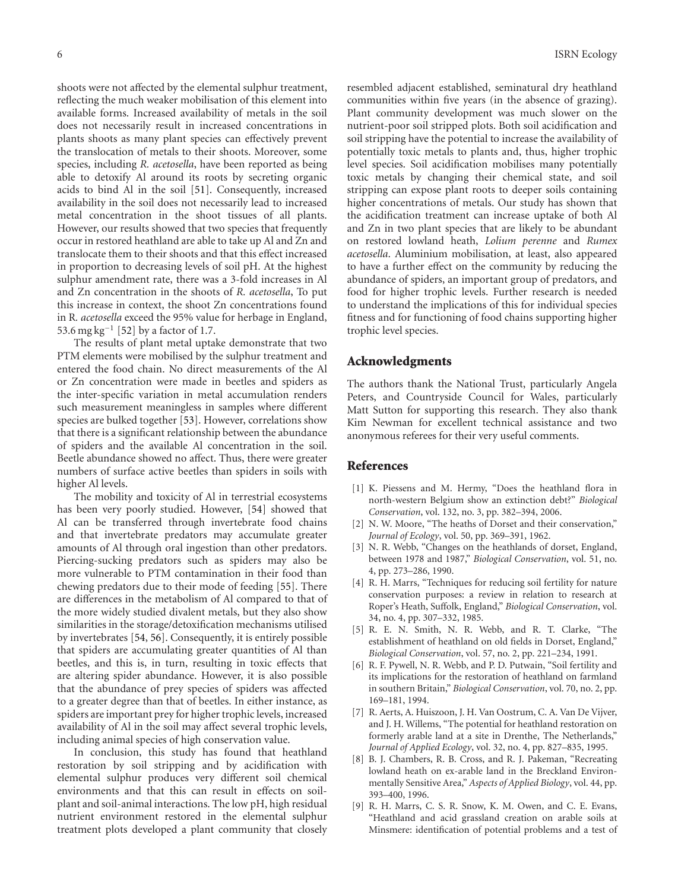shoots were not affected by the elemental sulphur treatment, reflecting the much weaker mobilisation of this element into available forms. Increased availability of metals in the soil does not necessarily result in increased concentrations in plants shoots as many plant species can effectively prevent the translocation of metals to their shoots. Moreover, some species, including *R. acetosella*, have been reported as being able to detoxify Al around its roots by secreting organic acids to bind Al in the soil [\[51\]](#page-7-9). Consequently, increased availability in the soil does not necessarily lead to increased metal concentration in the shoot tissues of all plants. However, our results showed that two species that frequently occur in restored heathland are able to take up Al and Zn and translocate them to their shoots and that this effect increased in proportion to decreasing levels of soil pH. At the highest sulphur amendment rate, there was a 3-fold increases in Al and Zn concentration in the shoots of *R. acetosella*, To put this increase in context, the shoot Zn concentrations found in R*. acetosella* exceed the 95% value for herbage in England, 53.6 mg kg−<sup>1</sup> [\[52](#page-7-10)] by a factor of 1.7.

The results of plant metal uptake demonstrate that two PTM elements were mobilised by the sulphur treatment and entered the food chain. No direct measurements of the Al or Zn concentration were made in beetles and spiders as the inter-specific variation in metal accumulation renders such measurement meaningless in samples where different species are bulked together [\[53\]](#page-7-11). However, correlations show that there is a significant relationship between the abundance of spiders and the available Al concentration in the soil. Beetle abundance showed no affect. Thus, there were greater numbers of surface active beetles than spiders in soils with higher Al levels.

The mobility and toxicity of Al in terrestrial ecosystems has been very poorly studied. However, [\[54](#page-7-12)] showed that Al can be transferred through invertebrate food chains and that invertebrate predators may accumulate greater amounts of Al through oral ingestion than other predators. Piercing-sucking predators such as spiders may also be more vulnerable to PTM contamination in their food than chewing predators due to their mode of feeding [\[55\]](#page-7-13). There are differences in the metabolism of Al compared to that of the more widely studied divalent metals, but they also show similarities in the storage/detoxification mechanisms utilised by invertebrates [\[54](#page-7-12), [56](#page-7-14)]. Consequently, it is entirely possible that spiders are accumulating greater quantities of Al than beetles, and this is, in turn, resulting in toxic effects that are altering spider abundance. However, it is also possible that the abundance of prey species of spiders was affected to a greater degree than that of beetles. In either instance, as spiders are important prey for higher trophic levels, increased availability of Al in the soil may affect several trophic levels, including animal species of high conservation value.

In conclusion, this study has found that heathland restoration by soil stripping and by acidification with elemental sulphur produces very different soil chemical environments and that this can result in effects on soilplant and soil-animal interactions. The low pH, high residual nutrient environment restored in the elemental sulphur treatment plots developed a plant community that closely resembled adjacent established, seminatural dry heathland communities within five years (in the absence of grazing). Plant community development was much slower on the nutrient-poor soil stripped plots. Both soil acidification and soil stripping have the potential to increase the availability of potentially toxic metals to plants and, thus, higher trophic level species. Soil acidification mobilises many potentially toxic metals by changing their chemical state, and soil stripping can expose plant roots to deeper soils containing higher concentrations of metals. Our study has shown that the acidification treatment can increase uptake of both Al and Zn in two plant species that are likely to be abundant on restored lowland heath, *Lolium perenne* and *Rumex acetosella*. Aluminium mobilisation, at least, also appeared to have a further effect on the community by reducing the abundance of spiders, an important group of predators, and food for higher trophic levels. Further research is needed to understand the implications of this for individual species fitness and for functioning of food chains supporting higher trophic level species.

#### **Acknowledgments**

The authors thank the National Trust, particularly Angela Peters, and Countryside Council for Wales, particularly Matt Sutton for supporting this research. They also thank Kim Newman for excellent technical assistance and two anonymous referees for their very useful comments.

#### <span id="page-5-0"></span>**References**

- <span id="page-5-1"></span>[1] K. Piessens and M. Hermy, "Does the heathland flora in north-western Belgium show an extinction debt?" *Biological Conservation*, vol. 132, no. 3, pp. 382–394, 2006.
- <span id="page-5-2"></span>[2] N. W. Moore, "The heaths of Dorset and their conservation," *Journal of Ecology*, vol. 50, pp. 369–391, 1962.
- <span id="page-5-3"></span>[3] N. R. Webb, "Changes on the heathlands of dorset, England, between 1978 and 1987," *Biological Conservation*, vol. 51, no. 4, pp. 273–286, 1990.
- <span id="page-5-4"></span>[4] R. H. Marrs, "Techniques for reducing soil fertility for nature conservation purposes: a review in relation to research at Roper's Heath, Suffolk, England," *Biological Conservation*, vol. 34, no. 4, pp. 307–332, 1985.
- [5] R. E. N. Smith, N. R. Webb, and R. T. Clarke, "The establishment of heathland on old fields in Dorset, England," *Biological Conservation*, vol. 57, no. 2, pp. 221–234, 1991.
- [6] R. F. Pywell, N. R. Webb, and P. D. Putwain, "Soil fertility and its implications for the restoration of heathland on farmland in southern Britain," *Biological Conservation*, vol. 70, no. 2, pp. 169–181, 1994.
- [7] R. Aerts, A. Huiszoon, J. H. Van Oostrum, C. A. Van De Vijver, and J. H. Willems, "The potential for heathland restoration on formerly arable land at a site in Drenthe, The Netherlands," *Journal of Applied Ecology*, vol. 32, no. 4, pp. 827–835, 1995.
- [8] B. J. Chambers, R. B. Cross, and R. J. Pakeman, "Recreating lowland heath on ex-arable land in the Breckland Environmentally Sensitive Area," *Aspects of Applied Biology*, vol. 44, pp. 393–400, 1996.
- [9] R. H. Marrs, C. S. R. Snow, K. M. Owen, and C. E. Evans, "Heathland and acid grassland creation on arable soils at Minsmere: identification of potential problems and a test of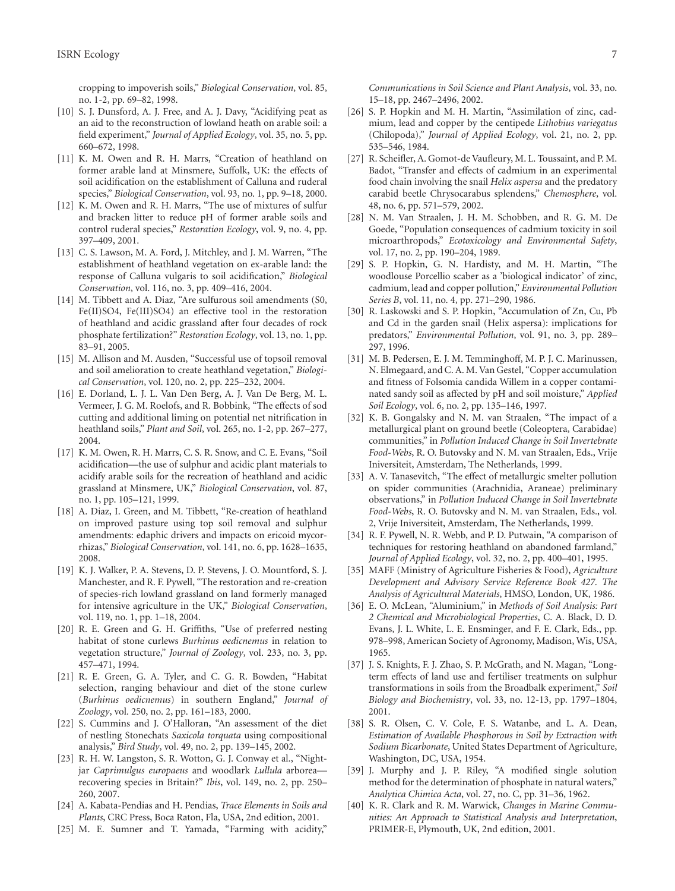cropping to impoverish soils," *Biological Conservation*, vol. 85, no. 1-2, pp. 69–82, 1998.

- [10] S. J. Dunsford, A. J. Free, and A. J. Davy, "Acidifying peat as an aid to the reconstruction of lowland heath on arable soil: a field experiment," *Journal of Applied Ecology*, vol. 35, no. 5, pp. 660–672, 1998.
- <span id="page-6-20"></span>[11] K. M. Owen and R. H. Marrs, "Creation of heathland on former arable land at Minsmere, Suffolk, UK: the effects of soil acidification on the establishment of Calluna and ruderal species," *Biological Conservation*, vol. 93, no. 1, pp. 9–18, 2000.
- [12] K. M. Owen and R. H. Marrs, "The use of mixtures of sulfur and bracken litter to reduce pH of former arable soils and control ruderal species," *Restoration Ecology*, vol. 9, no. 4, pp. 397–409, 2001.
- [13] C. S. Lawson, M. A. Ford, J. Mitchley, and J. M. Warren, "The establishment of heathland vegetation on ex-arable land: the response of Calluna vulgaris to soil acidification," *Biological Conservation*, vol. 116, no. 3, pp. 409–416, 2004.
- <span id="page-6-0"></span>[14] M. Tibbett and A. Diaz, "Are sulfurous soil amendments (S0, Fe(II)SO4, Fe(III)SO4) an effective tool in the restoration of heathland and acidic grassland after four decades of rock phosphate fertilization?" *Restoration Ecology*, vol. 13, no. 1, pp. 83–91, 2005.
- <span id="page-6-1"></span>[15] M. Allison and M. Ausden, "Successful use of topsoil removal and soil amelioration to create heathland vegetation," *Biological Conservation*, vol. 120, no. 2, pp. 225–232, 2004.
- <span id="page-6-2"></span>[16] E. Dorland, L. J. L. Van Den Berg, A. J. Van De Berg, M. L. Vermeer, J. G. M. Roelofs, and R. Bobbink, "The effects of sod cutting and additional liming on potential net nitrification in heathland soils," *Plant and Soil*, vol. 265, no. 1-2, pp. 267–277, 2004.
- <span id="page-6-3"></span>[17] K. M. Owen, R. H. Marrs, C. S. R. Snow, and C. E. Evans, "Soil acidification—the use of sulphur and acidic plant materials to acidify arable soils for the recreation of heathland and acidic grassland at Minsmere, UK," *Biological Conservation*, vol. 87, no. 1, pp. 105–121, 1999.
- <span id="page-6-4"></span>[18] A. Diaz, I. Green, and M. Tibbett, "Re-creation of heathland on improved pasture using top soil removal and sulphur amendments: edaphic drivers and impacts on ericoid mycorrhizas," *Biological Conservation*, vol. 141, no. 6, pp. 1628–1635, 2008.
- <span id="page-6-5"></span>[19] K. J. Walker, P. A. Stevens, D. P. Stevens, J. O. Mountford, S. J. Manchester, and R. F. Pywell, "The restoration and re-creation of species-rich lowland grassland on land formerly managed for intensive agriculture in the UK," *Biological Conservation*, vol. 119, no. 1, pp. 1–18, 2004.
- <span id="page-6-6"></span>[20] R. E. Green and G. H. Griffiths, "Use of preferred nesting habitat of stone curlews *Burhinus oedicnemus* in relation to vegetation structure," *Journal of Zoology*, vol. 233, no. 3, pp. 457–471, 1994.
- <span id="page-6-7"></span>[21] R. E. Green, G. A. Tyler, and C. G. R. Bowden, "Habitat selection, ranging behaviour and diet of the stone curlew (*Burhinus oedicnemus*) in southern England," *Journal of Zoology*, vol. 250, no. 2, pp. 161–183, 2000.
- <span id="page-6-8"></span>[22] S. Cummins and J. O'Halloran, "An assessment of the diet of nestling Stonechats *Saxicola torquata* using compositional analysis," *Bird Study*, vol. 49, no. 2, pp. 139–145, 2002.
- <span id="page-6-9"></span>[23] R. H. W. Langston, S. R. Wotton, G. J. Conway et al., "Nightjar *Caprimulgus europaeus* and woodlark *Lullula* arborea recovering species in Britain?" *Ibis*, vol. 149, no. 2, pp. 250– 260, 2007.
- <span id="page-6-10"></span>[24] A. Kabata-Pendias and H. Pendias, *Trace Elements in Soils and Plants*, CRC Press, Boca Raton, Fla, USA, 2nd edition, 2001.
- <span id="page-6-11"></span>[25] M. E. Sumner and T. Yamada, "Farming with acidity,"

*Communications in Soil Science and Plant Analysis*, vol. 33, no. 15–18, pp. 2467–2496, 2002.

- <span id="page-6-12"></span>[26] S. P. Hopkin and M. H. Martin, "Assimilation of zinc, cadmium, lead and copper by the centipede *Lithobius variegatus* (Chilopoda)," *Journal of Applied Ecology*, vol. 21, no. 2, pp. 535–546, 1984.
- <span id="page-6-13"></span>[27] R. Scheifler, A. Gomot-de Vaufleury, M. L. Toussaint, and P. M. Badot, "Transfer and effects of cadmium in an experimental food chain involving the snail *Helix aspersa* and the predatory carabid beetle Chrysocarabus splendens," *Chemosphere*, vol. 48, no. 6, pp. 571–579, 2002.
- <span id="page-6-14"></span>[28] N. M. Van Straalen, J. H. M. Schobben, and R. G. M. De Goede, "Population consequences of cadmium toxicity in soil microarthropods," *Ecotoxicology and Environmental Safety*, vol. 17, no. 2, pp. 190–204, 1989.
- <span id="page-6-15"></span>[29] S. P. Hopkin, G. N. Hardisty, and M. H. Martin, "The woodlouse Porcellio scaber as a 'biological indicator' of zinc, cadmium, lead and copper pollution," *Environmental Pollution Series B*, vol. 11, no. 4, pp. 271–290, 1986.
- <span id="page-6-16"></span>[30] R. Laskowski and S. P. Hopkin, "Accumulation of Zn, Cu, Pb and Cd in the garden snail (Helix aspersa): implications for predators," *Environmental Pollution*, vol. 91, no. 3, pp. 289– 297, 1996.
- <span id="page-6-17"></span>[31] M. B. Pedersen, E. J. M. Temminghoff, M. P. J. C. Marinussen, N. Elmegaard, and C. A. M. Van Gestel, "Copper accumulation and fitness of Folsomia candida Willem in a copper contaminated sandy soil as affected by pH and soil moisture," *Applied Soil Ecology*, vol. 6, no. 2, pp. 135–146, 1997.
- <span id="page-6-18"></span>[32] K. B. Gongalsky and N. M. van Straalen, "The impact of a metallurgical plant on ground beetle (Coleoptera, Carabidae) communities," in *Pollution Induced Change in Soil Invertebrate Food-Webs*, R. O. Butovsky and N. M. van Straalen, Eds., Vrije Iniversiteit, Amsterdam, The Netherlands, 1999.
- <span id="page-6-19"></span>[33] A. V. Tanasevitch, "The effect of metallurgic smelter pollution on spider communities (Arachnidia, Araneae) preliminary observations," in *Pollution Induced Change in Soil Invertebrate Food-Webs*, R. O. Butovsky and N. M. van Straalen, Eds., vol. 2, Vrije Iniversiteit, Amsterdam, The Netherlands, 1999.
- <span id="page-6-21"></span>[34] R. F. Pywell, N. R. Webb, and P. D. Putwain, "A comparison of techniques for restoring heathland on abandoned farmland," *Journal of Applied Ecology*, vol. 32, no. 2, pp. 400–401, 1995.
- <span id="page-6-22"></span>[35] MAFF (Ministry of Agriculture Fisheries & Food), *Agriculture Development and Advisory Service Reference Book 427. The Analysis of Agricultural Materials*, HMSO, London, UK, 1986.
- <span id="page-6-23"></span>[36] E. O. McLean, "Aluminium," in *Methods of Soil Analysis: Part 2 Chemical and Microbiological Properties*, C. A. Black, D. D. Evans, J. L. White, L. E. Ensminger, and F. E. Clark, Eds., pp. 978–998, American Society of Agronomy, Madison, Wis, USA, 1965.
- <span id="page-6-24"></span>[37] J. S. Knights, F. J. Zhao, S. P. McGrath, and N. Magan, "Longterm effects of land use and fertiliser treatments on sulphur transformations in soils from the Broadbalk experiment," *Soil Biology and Biochemistry*, vol. 33, no. 12-13, pp. 1797–1804, 2001.
- <span id="page-6-25"></span>[38] S. R. Olsen, C. V. Cole, F. S. Watanbe, and L. A. Dean, *Estimation of Available Phosphorous in Soil by Extraction with Sodium Bicarbonate*, United States Department of Agriculture, Washington, DC, USA, 1954.
- <span id="page-6-26"></span>[39] J. Murphy and J. P. Riley, "A modified single solution method for the determination of phosphate in natural waters," *Analytica Chimica Acta*, vol. 27, no. C, pp. 31–36, 1962.
- <span id="page-6-27"></span>[40] K. R. Clark and R. M. Warwick, *Changes in Marine Communities: An Approach to Statistical Analysis and Interpretation*, PRIMER-E, Plymouth, UK, 2nd edition, 2001.